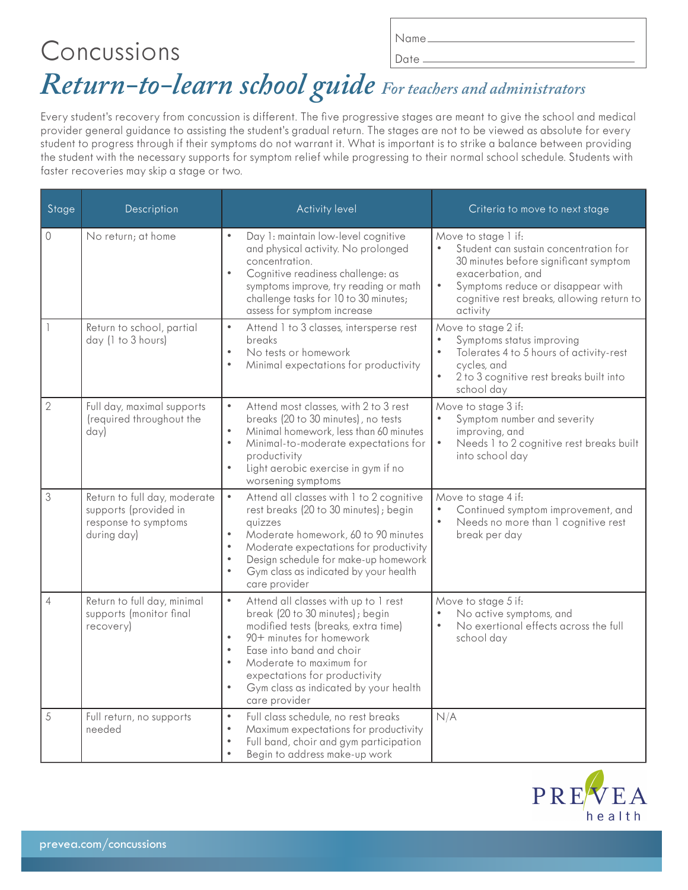# Concussions *Return-to-learn school guide For teachers and administrators* Name Date.

Every student's recovery from concussion is different. The five progressive stages are meant to give the school and medical provider general guidance to assisting the student's gradual return. The stages are not to be viewed as absolute for every student to progress through if their symptoms do not warrant it. What is important is to strike a balance between providing the student with the necessary supports for symptom relief while progressing to their normal school schedule. Students with faster recoveries may skip a stage or two.

| Stage          | Description                                                                                  | <b>Activity level</b>                                                                                                                                                                                                                                                                                                                                         | Criteria to move to next stage                                                                                                                                                                                                        |
|----------------|----------------------------------------------------------------------------------------------|---------------------------------------------------------------------------------------------------------------------------------------------------------------------------------------------------------------------------------------------------------------------------------------------------------------------------------------------------------------|---------------------------------------------------------------------------------------------------------------------------------------------------------------------------------------------------------------------------------------|
| 0              | No return; at home                                                                           | Day 1: maintain low-level cognitive<br>$\bullet$<br>and physical activity. No prolonged<br>concentration.<br>$\bullet$<br>Cognitive readiness challenge: as<br>symptoms improve, try reading or math<br>challenge tasks for 10 to 30 minutes;<br>assess for symptom increase                                                                                  | Move to stage 1 if:<br>Student can sustain concentration for<br>30 minutes before significant symptom<br>exacerbation, and<br>$\bullet$<br>Symptoms reduce or disappear with<br>cognitive rest breaks, allowing return to<br>activity |
|                | Return to school, partial<br>day (1 to 3 hours)                                              | $\bullet$<br>Attend 1 to 3 classes, intersperse rest<br>breaks<br>No tests or homework<br>$\bullet$<br>Minimal expectations for productivity<br>$\bullet$                                                                                                                                                                                                     | Move to stage 2 if:<br>Symptoms status improving<br>Tolerates 4 to 5 hours of activity-rest<br>$\bullet$<br>cycles, and<br>2 to 3 cognitive rest breaks built into<br>school day                                                      |
| $\overline{2}$ | Full day, maximal supports<br>(required throughout the<br>day)                               | Attend most classes, with 2 to 3 rest<br>$\bullet$<br>breaks (20 to 30 minutes), no tests<br>$\bullet$<br>Minimal homework, less than 60 minutes<br>$\bullet$<br>Minimal-to-moderate expectations for<br>productivity<br>Light aerobic exercise in gym if no<br>$\bullet$<br>worsening symptoms                                                               | Move to stage 3 if:<br>Symptom number and severity<br>improving, and<br>$\bullet$<br>Needs 1 to 2 cognitive rest breaks built<br>into school day                                                                                      |
| 3              | Return to full day, moderate<br>supports (provided in<br>response to symptoms<br>during day) | $\bullet$<br>Attend all classes with 1 to 2 cognitive<br>rest breaks (20 to 30 minutes); begin<br>quizzes<br>Moderate homework, 60 to 90 minutes<br>$\bullet$<br>$\bullet$<br>Moderate expectations for productivity<br>Design schedule for make-up homework<br>$\bullet$<br>Gym class as indicated by your health<br>$\bullet$<br>care provider              | Move to stage 4 if:<br>Continued symptom improvement, and<br>$\bullet$<br>Needs no more than I cognitive rest<br>break per day                                                                                                        |
| $\overline{4}$ | Return to full day, minimal<br>supports (monitor final<br>recovery)                          | Attend all classes with up to 1 rest<br>$\bullet$<br>break (20 to 30 minutes); begin<br>modified tests (breaks, extra time)<br>90+ minutes for homework<br>$\bullet$<br>Ease into band and choir<br>$\bullet$<br>$\bullet$<br>Moderate to maximum for<br>expectations for productivity<br>Gym class as indicated by your health<br>$\bullet$<br>care provider | Move to stage 5 if:<br>No active symptoms, and<br>No exertional effects across the full<br>school day                                                                                                                                 |
| 5              | Full return, no supports<br>needed                                                           | Full class schedule, no rest breaks<br>$\bullet$<br>$\bullet$<br>Maximum expectations for productivity<br>Full band, choir and gym participation<br>$\bullet$<br>Begin to address make-up work<br>$\bullet$                                                                                                                                                   | N/A                                                                                                                                                                                                                                   |